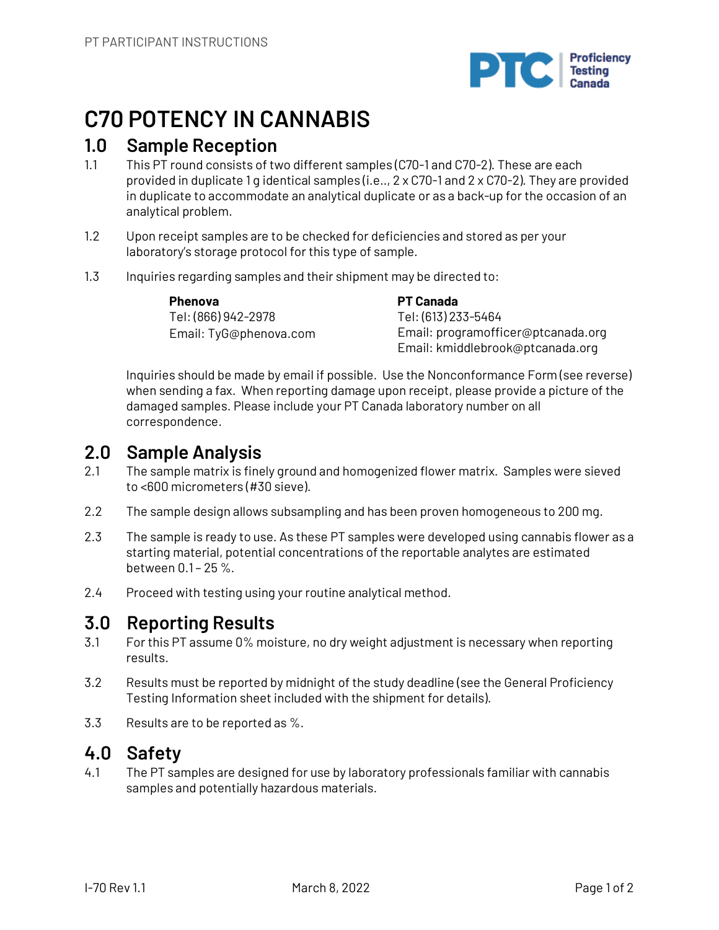

# **C70 POTENCY IN CANNABIS**

## **1.0 Sample Reception**

- 1.1 This PT round consists of two different samples (C70-1 and C70-2). These are each provided in duplicate 1 g identical samples (i.e.., 2 x C70-1 and 2 x C70-2). They are provided in duplicate to accommodate an analytical duplicate or as a back-up for the occasion of an analytical problem.
- 1.2 Upon receipt samples are to be checked for deficiencies and stored as per your laboratory's storage protocol for this type of sample.
- 1.3 Inquiries regarding samples and their shipment may be directed to:

**Phenova** Tel: (866) 942-2978 Email: TyG@phenova.com **PT Canada** Tel: (613) 233-5464 Email: programofficer@ptcanada.org Email: kmiddlebrook@ptcanada.org

Inquiries should be made by email if possible. Use the Nonconformance Form (see reverse) when sending a fax. When reporting damage upon receipt, please provide a picture of the damaged samples. Please include your PT Canada laboratory number on all correspondence.

# **2.0 Sample Analysis**

- 2.1 The sample matrix is finely ground and homogenized flower matrix. Samples were sieved to <600 micrometers (#30 sieve).
- 2.2 The sample design allows subsampling and has been proven homogeneous to 200 mg.
- 2.3 The sample is ready to use. As these PT samples were developed using cannabis flower as a starting material, potential concentrations of the reportable analytes are estimated between 0.1 – 25 %.
- 2.4 Proceed with testing using your routine analytical method.

# **3.0 Reporting Results**

- 3.1 For this PT assume 0% moisture, no dry weight adjustment is necessary when reporting results.
- 3.2 Results must be reported by midnight of the study deadline (see the General Proficiency Testing Information sheet included with the shipment for details).
- 3.3 Results are to be reported as %.

# **4.0 Safety**

4.1 The PT samples are designed for use by laboratory professionals familiar with cannabis samples and potentially hazardous materials.